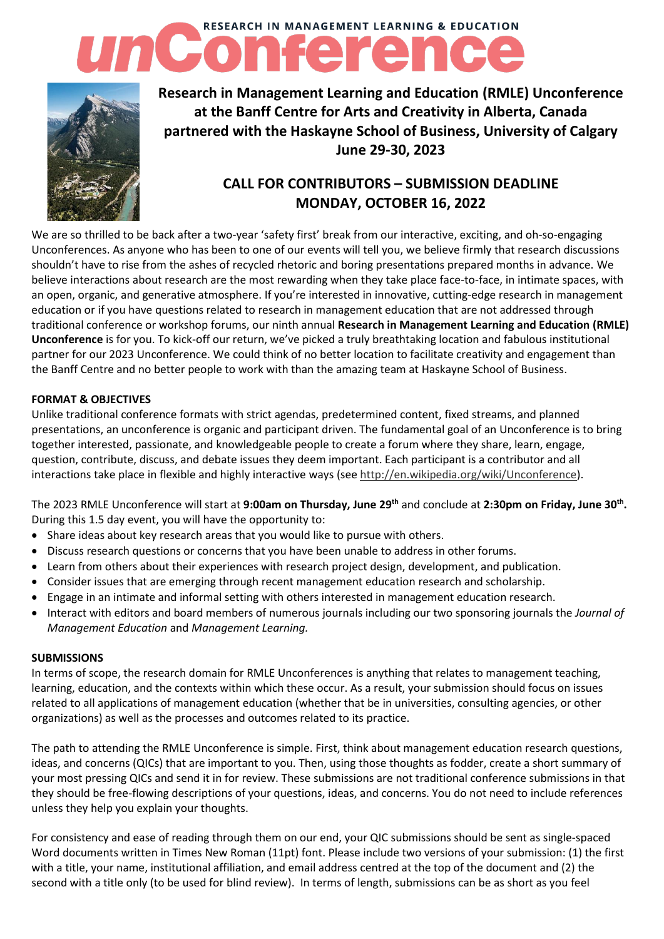# **RESEARCH IN MANAGEMENT LEARNING & EDUCATION**



## **Research in Management Learning and Education (RMLE) Unconference at the Banff Centre for Arts and Creativity in Alberta, Canada partnered with the Haskayne School of Business, University of Calgary June 29-30, 2023**

### **CALL FOR CONTRIBUTORS – SUBMISSION DEADLINE MONDAY, OCTOBER 16, 2022**

We are so thrilled to be back after a two-year 'safety first' break from our interactive, exciting, and oh-so-engaging Unconferences. As anyone who has been to one of our events will tell you, we believe firmly that research discussions shouldn't have to rise from the ashes of recycled rhetoric and boring presentations prepared months in advance. We believe interactions about research are the most rewarding when they take place face-to-face, in intimate spaces, with an open, organic, and generative atmosphere. If you're interested in innovative, cutting-edge research in management education or if you have questions related to research in management education that are not addressed through traditional conference or workshop forums, our ninth annual **Research in Management Learning and Education (RMLE) Unconference** is for you. To kick-off our return, we've picked a truly breathtaking location and fabulous institutional partner for our 2023 Unconference. We could think of no better location to facilitate creativity and engagement than the Banff Centre and no better people to work with than the amazing team at Haskayne School of Business.

#### **FORMAT & OBJECTIVES**

Unlike traditional conference formats with strict agendas, predetermined content, fixed streams, and planned presentations, an unconference is organic and participant driven. The fundamental goal of an Unconference is to bring together interested, passionate, and knowledgeable people to create a forum where they share, learn, engage, question, contribute, discuss, and debate issues they deem important. Each participant is a contributor and all interactions take place in flexible and highly interactive ways (see [http://en.wikipedia.org/wiki/Unconference\)](http://en.wikipedia.org/wiki/Unconference).

The 2023 RMLE Unconference will start at **9:00am on Thursday, June 29 th** and conclude at **2:30pm on Friday, June 30th .** During this 1.5 day event, you will have the opportunity to:

- Share ideas about key research areas that you would like to pursue with others.
- Discuss research questions or concerns that you have been unable to address in other forums.
- Learn from others about their experiences with research project design, development, and publication.
- Consider issues that are emerging through recent management education research and scholarship.
- Engage in an intimate and informal setting with others interested in management education research.
- Interact with editors and board members of numerous journals including our two sponsoring journals the *Journal of Management Education* and *Management Learning.*

#### **SUBMISSIONS**

In terms of scope, the research domain for RMLE Unconferences is anything that relates to management teaching, learning, education, and the contexts within which these occur. As a result, your submission should focus on issues related to all applications of management education (whether that be in universities, consulting agencies, or other organizations) as well as the processes and outcomes related to its practice.

The path to attending the RMLE Unconference is simple. First, think about management education research questions, ideas, and concerns (QICs) that are important to you. Then, using those thoughts as fodder, create a short summary of your most pressing QICs and send it in for review. These submissions are not traditional conference submissions in that they should be free-flowing descriptions of your questions, ideas, and concerns. You do not need to include references unless they help you explain your thoughts.

For consistency and ease of reading through them on our end, your QIC submissions should be sent as single-spaced Word documents written in Times New Roman (11pt) font. Please include two versions of your submission: (1) the first with a title, your name, institutional affiliation, and email address centred at the top of the document and (2) the second with a title only (to be used for blind review). In terms of length, submissions can be as short as you feel